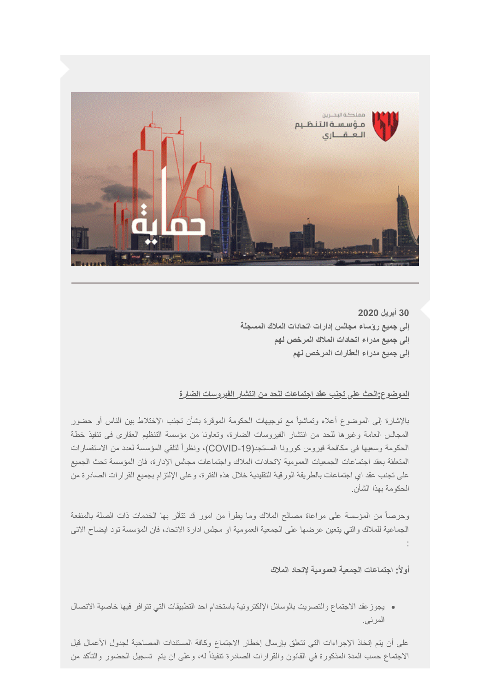

**30 أبریل 2020 إلى جمیع رؤساء مجالس إدارات اتحادات الملاك المسجلة إلى جمیع مدراء اتحادات الملاك المرخص لھم إلى جمیع مدراء العقارات المرخص لھم** 

## **الموضوع:الحث على تجنب عقد اجتماعات للحد من انتشار الفیروسات الضارة**

بالإشارة إلى الموضوع أعلاه وتماشیاً مع توجیھات الحكومة الموقرة بشأن تجنب الإختلاط بین الناس أو حضور المجالس العامة وغیرھا للحد من انتشار الفیروسات الضارة، وتعاونا من مؤسسة التنظیم العقارى فى تنفیذ خطة الحكومة وسعیھا فى مكافحة فیروس كورونا المستجد(-19COVID(، ونظراً لتلقي المؤسسة لعدد من الاستفسارات المتعلقة بعقد اجتماعات الجمعیات العمومیة لاتحادات الملاك واجتماعات مجالس الإدارة، فان المؤسسة تحث الجمیع على تجنب عقد اي اجتماعات بالطریقة الورقیة التقلیدیة خلال ھذه الفترة، وعلى الإلتزام بجمیع القرارات الصادرة من الحكومة بھذا الشأن.

وحرصاً من المؤسسة على مراعاة مصالح الملاك وما یطرأ من امور قد تتأثر بھا الخدمات ذات الصلة بالمنفعة الجماعیة للملاك والتي یتعین عرضھا على الجمعیة العمومیة او مجلس ادارة الاتحاد، فان المؤسسة تود ایضاح الاتى :

**أولا:ً اجتماعات الجمعیة العمومیة لإتحاد الملاك**

یجوزعقد الاجتماع والتصویت بالوسائل الإلكترونیة باستخدام احد التطبیقات التي تتوافر فیھا خاصیة الاتصال المرئي.

على أن یتم إتخاذ الإجراءات التي تتعلق بإرسال إخطار الاجتماع وكافة المستندات المصاحبة لجدول الأعمال قبل الاجتماع حسب المدة المذكورة في القانون والقرارات الصادرة تنفیذاً لھ، وعلى ان یتم تسجیل الحضور والتأكد من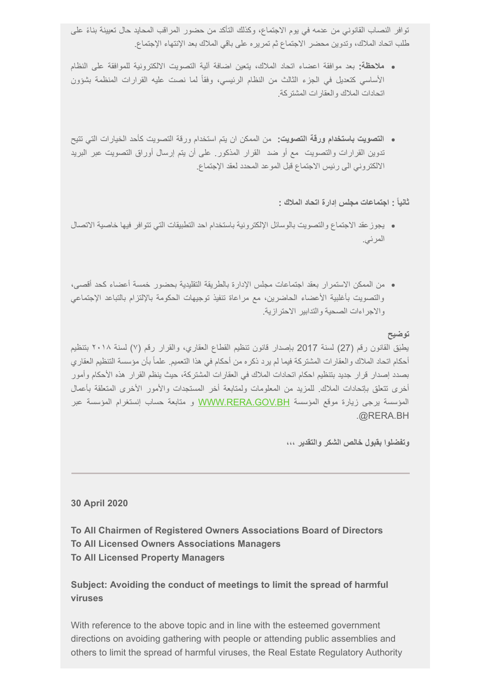توافر النصاب القانوني من عدمھ في یوم الاجتماع، وكذلك التأكد من حضور المراقب المحاید حال تعیینة ً بناء على طلب اتحاد الملاك، وتدوین محضر الاجتماع ثم تمریره على باقي الملاك بعد الإنتھاء الإجتماع.

- **ملاحظة:** بعد موافقة اعضاء اتحاد الملاك، یتعین اضافة آلیة التصویت الالكترونیة للموافقة على النظام الأساسي كتعدیل في الجزء الثالث من النظام الرئیسي، وفقاً لما نصت علیھ القرارات المنظمة بشؤون اتحادات الملاك والعقارات المشتركة.
- **التصویت باستخدام ورقة التصویت:** من الممكن ان یتم استخدام ورقة التصویت كأحد الخیارات التي تتیح تدوین القرارات والتصویت مع أو ضد القرار المذكور. على أن یتم إرسال أوراق التصویت عبر البرید الالكتروني الى رئیس الاجتماع قبل الموعد المحدد لعقد الإجتماع.

**ثانیاً : اجتماعات مجلس إدارة اتحاد الملاك :**

- یجوزعقد الاجتماع والتصویت بالوسائل الإلكترونیة باستخدام احد التطبیقات التي تتوافر فیھا خاصیة الاتصال المرئي.
- من الممكن الاستمرار بعقد اجتماعات مجلس الإدارة بالطریقة التقلیدیة بحضور خمسة أعضاء كحد أقصى، والتصویت بأغلبیة الأعضاء الحاضرین، مع مراعاة تنفیذ توجیھات الحكومة بالإلتزام بالتباعد الإجتماعي والاجراءات الصحیة والتدابیر الاحترازیة.

### **توضیح**

یطبَق القانون رقم (27) لسنة 2017 بإصدار قانون تنظیم القطاع العقاري، والقرار رقم (٧) لسنة ٢٠١٨ بتنظیم أحكام اتحاد الملاك والعقارات المشتركة فیما لم یرد ذكره من أحكام في ھذا التعمیم. علماً بأن مؤسسة التنظیم العقاري بصدد إصدار قرار جدید بتنظیم احكام اتحادات الملاك في العقارات المشتركة، حیث ینظم القرار ھذه الأحكام وأمور أخرى تتعلق بإتحادات الملاك. للمزید من المعلومات ولمتابعة أخر المستجدات والأمور الأخرى المتعلقة بأعمال المؤسسة یرجى زیارة موقع المؤسسة [BH.GOV.RERA.WWW](http://www.rera.gov.bh/) و متابعة حساب إنستغرام المؤسسة عبر .@RERA.BH

**وتفضلوا بقبول خالص الشكر والتقدیر ،،،**

#### **30 April 2020**

**To All Chairmen of Registered Owners Associations Board of Directors To All Licensed Owners Associations Managers To All Licensed Property Managers** 

# **Subject: Avoiding the conduct of meetings to limit the spread of harmful viruses**

With reference to the above topic and in line with the esteemed government directions on avoiding gathering with people or attending public assemblies and others to limit the spread of harmful viruses, the Real Estate Regulatory Authority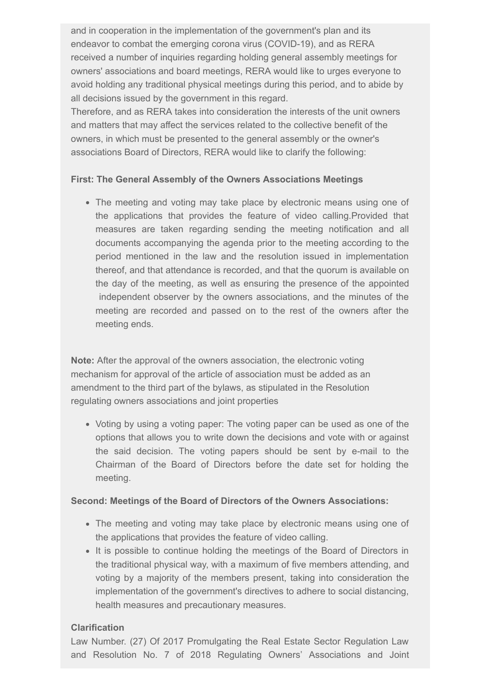and in cooperation in the implementation of the government's plan and its endeavor to combat the emerging corona virus (COVID-19), and as RERA received a number of inquiries regarding holding general assembly meetings for owners' associations and board meetings, RERA would like to urges everyone to avoid holding any traditional physical meetings during this period, and to abide by all decisions issued by the government in this regard.

Therefore, and as RERA takes into consideration the interests of the unit owners and matters that may affect the services related to the collective benefit of the owners, in which must be presented to the general assembly or the owner's associations Board of Directors, RERA would like to clarify the following:

### **First: The General Assembly of the Owners Associations Meetings**

• The meeting and voting may take place by electronic means using one of the applications that provides the feature of video calling.Provided that measures are taken regarding sending the meeting notification and all documents accompanying the agenda prior to the meeting according to the period mentioned in the law and the resolution issued in implementation thereof, and that attendance is recorded, and that the quorum is available on the day of the meeting, as well as ensuring the presence of the appointed independent observer by the owners associations, and the minutes of the meeting are recorded and passed on to the rest of the owners after the meeting ends.

**Note:** After the approval of the owners association, the electronic voting mechanism for approval of the article of association must be added as an amendment to the third part of the bylaws, as stipulated in the Resolution regulating owners associations and joint properties

Voting by using a voting paper: The voting paper can be used as one of the options that allows you to write down the decisions and vote with or against the said decision. The voting papers should be sent by e-mail to the Chairman of the Board of Directors before the date set for holding the meeting.

### **Second: Meetings of the Board of Directors of the Owners Associations:**

- The meeting and voting may take place by electronic means using one of the applications that provides the feature of video calling.
- It is possible to continue holding the meetings of the Board of Directors in the traditional physical way, with a maximum of five members attending, and voting by a majority of the members present, taking into consideration the implementation of the government's directives to adhere to social distancing, health measures and precautionary measures.

### **Clarification**

Law Number. (27) Of 2017 Promulgating the Real Estate Sector Regulation Law and Resolution No. 7 of 2018 Regulating Owners' Associations and Joint